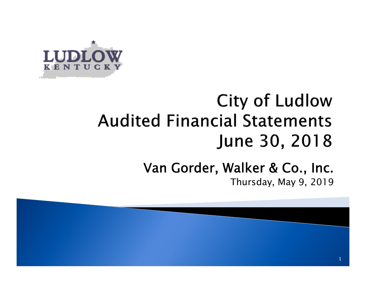

## **City of Ludlow Audited Financial Statements** June 30, 2018

#### Van Gorder, Walker & Co., Inc. Thursday, May 9, 2019

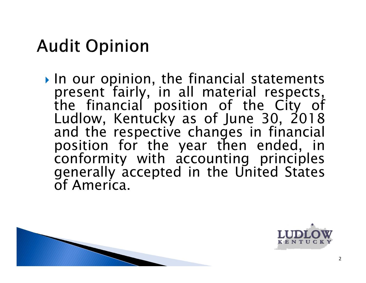## **Audit Opinion**

 $\triangleright$  In our opinion, the financial statements present fairly, in all material respects, the financial position of the City of Ludlow, Kentucky as of June 30, 2018 and the respective changes in financial position for the year then ended, in conformity with accounting principles generally accepted in the United States of America.



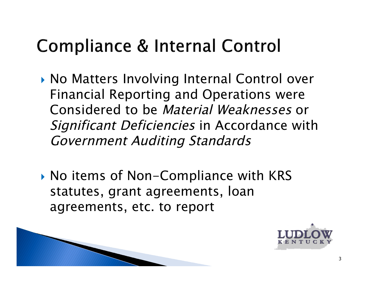## **Compliance & Internal Control**

- ▶ No Matters Involving Internal Control over Financial Reporting and Operations were Considered to be Material Weaknesses or Significant Deficiencies in Accordance with Government Auditing Standards
- ▶ No items of Non-Compliance with KRS statutes, grant agreements, loan agreements, etc. to report



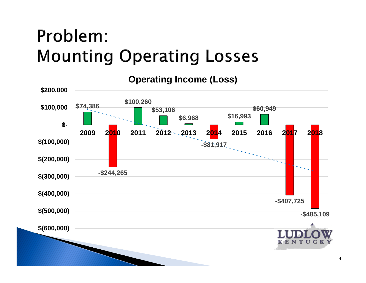## Problem: **Mounting Operating Losses**

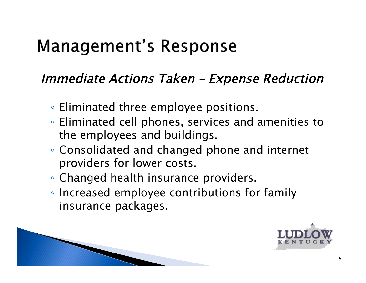## **Management's Response**

#### Immediate Actions Taken – Expense Reduction

- Eliminated three employee positions.
- Eliminated cell phones, services and amenities to the employees and buildings.
- Consolidated and changed phone and internet providers for lower costs.
- Changed health insurance providers.
- Increased employee contributions for family insurance packages.



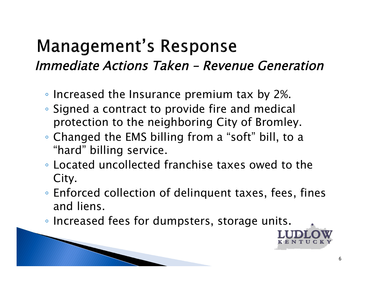### **Management's Response** Immediate Actions Taken – Revenue Generation

- Increased the Insurance premium tax by 2%.
- Signed a contract to provide fire and medical protection to the neighboring City of Bromley.
- Changed the EMS billing from a "soft" bill, to a "hard" billing service.
- Located uncollected franchise taxes owed to the City.
- Enforced collection of delinquent taxes, fees, fines and liens.
- Increased fees for dumpsters, storage units.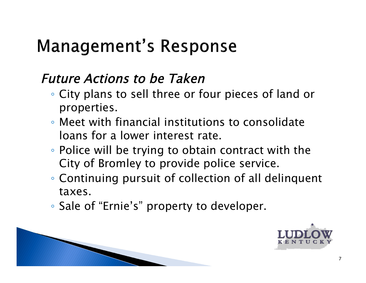## **Management's Response**

#### Future Actions to be Taken

- City plans to sell three or four pieces of land or properties.
- Meet with financial institutions to consolidate loans for a lower interest rate.
- Police will be trying to obtain contract with the City of Bromley to provide police service.
- Continuing pursuit of collection of all delinquent taxes.
- Sale of "Ernie's" property to developer.



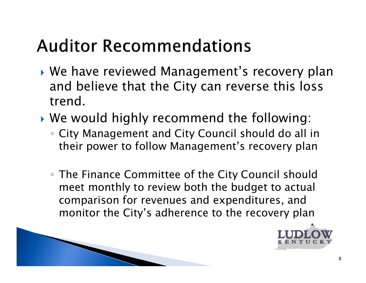## **Auditor Recommendations**

- ▶ We have reviewed Management's recovery plan and believe that the City can reverse this loss trend.
- We would highly recommend the following:
	- City Management and City Council should do all in their power to follow Management's recovery plan
	- The Finance Committee of the City Council should meet monthly to review both the budget to actual comparison for revenues and expenditures, and monitor the City's adherence to the recovery plan

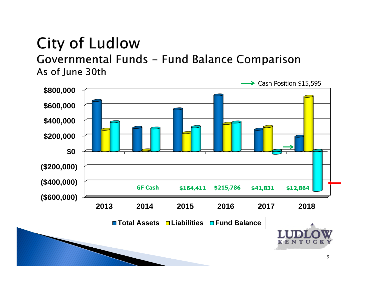#### **City of Ludlow** Governmental Funds - Fund Balance Comparison As of June 30th

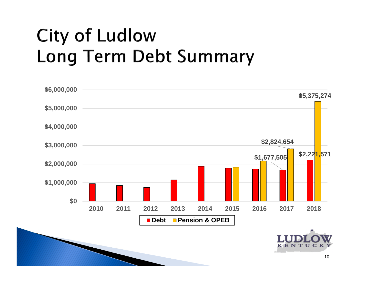# **City of Ludlow Long Term Debt Summary**

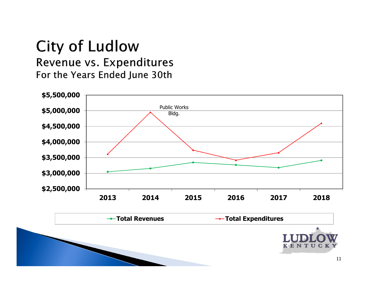#### **City of Ludlow** Revenue vs. Expenditures For the Years Ended June 30th



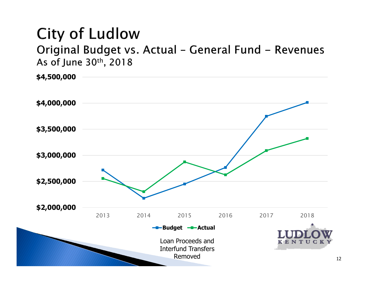Original Budget vs. Actual - General Fund - Revenues As of June 30th, 2018

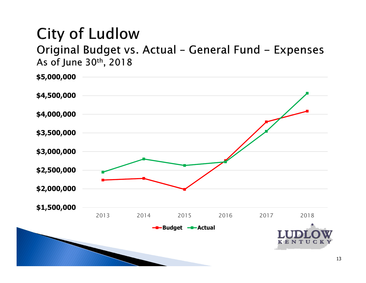Original Budget vs. Actual - General Fund - Expenses As of June 30th, 2018

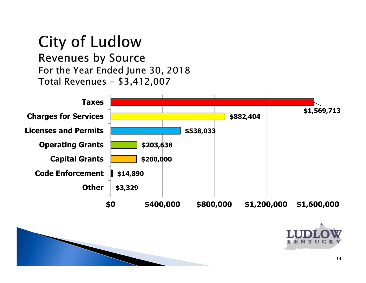**Revenues by Source** For the Year Ended June 30, 2018 Total Revenues - \$3,412,007